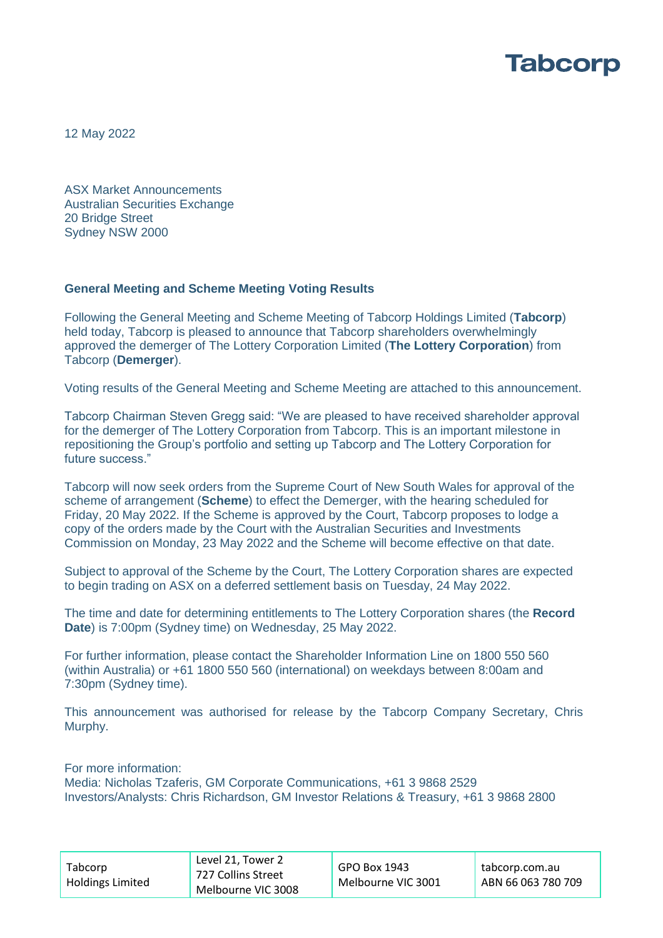

12 May 2022

ASX Market Announcements Australian Securities Exchange 20 Bridge Street Sydney NSW 2000

### **General Meeting and Scheme Meeting Voting Results**

Following the General Meeting and Scheme Meeting of Tabcorp Holdings Limited (**Tabcorp**) held today, Tabcorp is pleased to announce that Tabcorp shareholders overwhelmingly approved the demerger of The Lottery Corporation Limited (**The Lottery Corporation**) from Tabcorp (**Demerger**).

Voting results of the General Meeting and Scheme Meeting are attached to this announcement.

Tabcorp Chairman Steven Gregg said: "We are pleased to have received shareholder approval for the demerger of The Lottery Corporation from Tabcorp. This is an important milestone in repositioning the Group's portfolio and setting up Tabcorp and The Lottery Corporation for future success."

Tabcorp will now seek orders from the Supreme Court of New South Wales for approval of the scheme of arrangement (**Scheme**) to effect the Demerger, with the hearing scheduled for Friday, 20 May 2022. If the Scheme is approved by the Court, Tabcorp proposes to lodge a copy of the orders made by the Court with the Australian Securities and Investments Commission on Monday, 23 May 2022 and the Scheme will become effective on that date.

Subject to approval of the Scheme by the Court, The Lottery Corporation shares are expected to begin trading on ASX on a deferred settlement basis on Tuesday, 24 May 2022.

The time and date for determining entitlements to The Lottery Corporation shares (the **Record Date**) is 7:00pm (Sydney time) on Wednesday, 25 May 2022.

For further information, please contact the Shareholder Information Line on 1800 550 560 (within Australia) or +61 1800 550 560 (international) on weekdays between 8:00am and 7:30pm (Sydney time).

This announcement was authorised for release by the Tabcorp Company Secretary, Chris Murphy.

For more information:

Media: Nicholas Tzaferis, GM Corporate Communications, +61 3 9868 2529 Investors/Analysts: Chris Richardson, GM Investor Relations & Treasury, +61 3 9868 2800

| Tabcorp<br><b>Holdings Limited</b> | Level 21, Tower 2<br>727 Collins Street<br>Melbourne VIC 3008 | GPO Box 1943<br>Melbourne VIC 3001 | tabcorp.com.au<br>ABN 66 063 780 709 |
|------------------------------------|---------------------------------------------------------------|------------------------------------|--------------------------------------|
|------------------------------------|---------------------------------------------------------------|------------------------------------|--------------------------------------|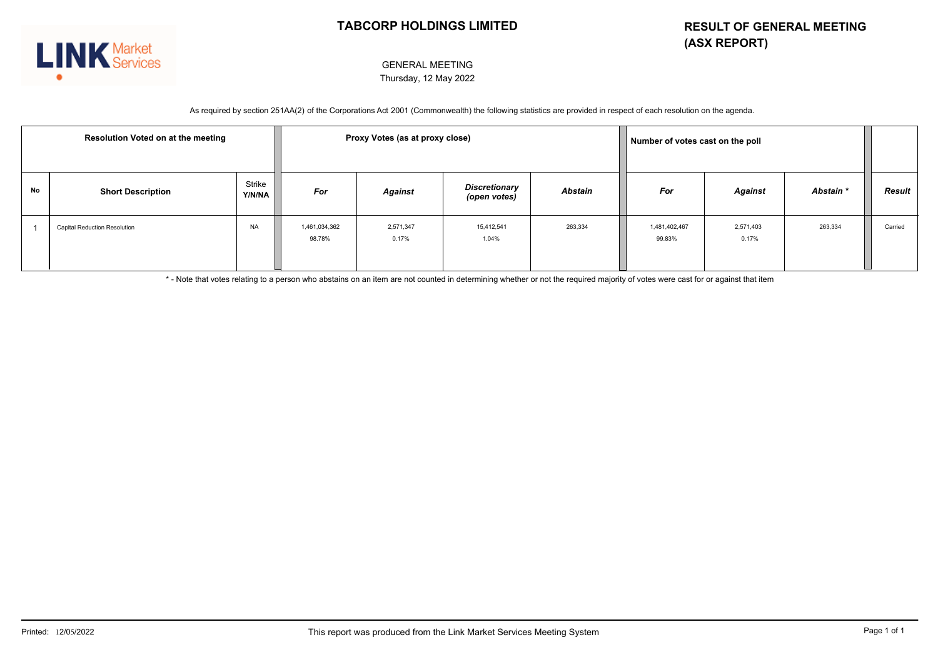

#### GENERAL MEETING Thursday, 12 May 2022

As required by section 251AA(2) of the Corporations Act 2001 (Commonwealth) the following statistics are provided in respect of each resolution on the agenda.

| <b>Resolution Voted on at the meeting</b> |                                     | Proxy Votes (as at proxy close) |                         |                    |                                      | Number of votes cast on the poll |                         |                    |           |         |  |
|-------------------------------------------|-------------------------------------|---------------------------------|-------------------------|--------------------|--------------------------------------|----------------------------------|-------------------------|--------------------|-----------|---------|--|
| No                                        | <b>Short Description</b>            | Strike<br>Y/N/NA                | For                     | <b>Against</b>     | <b>Discretionary</b><br>(open votes) | Abstain                          | For                     | Against            | Abstain * | Result  |  |
|                                           | <b>Capital Reduction Resolution</b> | <b>NA</b>                       | 1,461,034,362<br>98.78% | 2,571,347<br>0.17% | 15,412,541<br>1.04%                  | 263,334                          | 1,481,402,467<br>99.83% | 2,571,403<br>0.17% | 263,334   | Carried |  |

\* - Note that votes relating to a person who abstains on an item are not counted in determining whether or not the required majority of votes were cast for or against that item